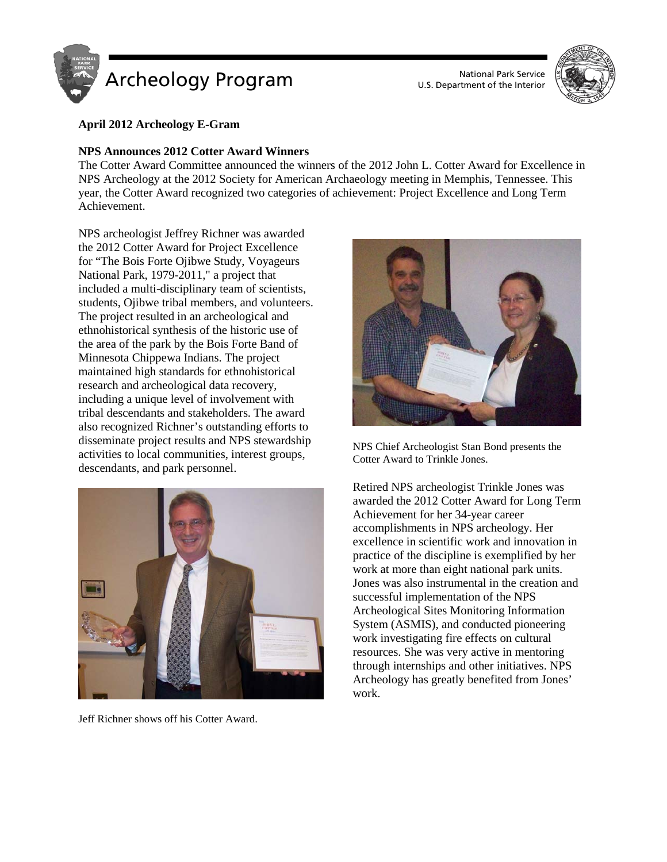

U.S. Department of the Interior



# **April 2012 Archeology E-Gram**

## **NPS Announces 2012 Cotter Award Winners**

The Cotter Award Committee announced the winners of the 2012 John L. Cotter Award for Excellence in NPS Archeology at the 2012 Society for American Archaeology meeting in Memphis, Tennessee. This year, the Cotter Award recognized two categories of achievement: Project Excellence and Long Term Achievement.

NPS archeologist Jeffrey Richner was awarded the 2012 Cotter Award for Project Excellence for "The Bois Forte Ojibwe Study, Voyageurs National Park, 1979-2011," a project that included a multi-disciplinary team of scientists, students, Ojibwe tribal members, and volunteers. The project resulted in an archeological and ethnohistorical synthesis of the historic use of the area of the park by the Bois Forte Band of Minnesota Chippewa Indians. The project maintained high standards for ethnohistorical research and archeological data recovery, including a unique level of involvement with tribal descendants and stakeholders. The award also recognized Richner's outstanding efforts to disseminate project results and NPS stewardship activities to local communities, interest groups, descendants, and park personnel.



Jeff Richner shows off his Cotter Award.



NPS Chief Archeologist Stan Bond presents the Cotter Award to Trinkle Jones.

Retired NPS archeologist Trinkle Jones was awarded the 2012 Cotter Award for Long Term Achievement for her 34-year career accomplishments in NPS archeology. Her excellence in scientific work and innovation in practice of the discipline is exemplified by her work at more than eight national park units. Jones was also instrumental in the creation and successful implementation of the NPS Archeological Sites Monitoring Information System (ASMIS), and conducted pioneering work investigating fire effects on cultural resources. She was very active in mentoring through internships and other initiatives. NPS Archeology has greatly benefited from Jones' work.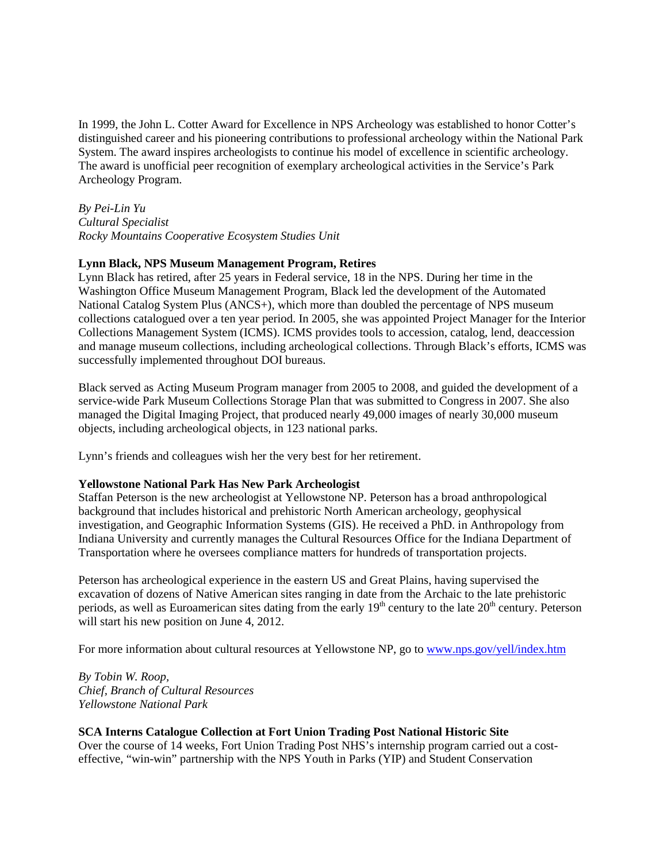In 1999, the John L. Cotter Award for Excellence in NPS Archeology was established to honor Cotter's distinguished career and his pioneering contributions to professional archeology within the National Park System. The award inspires archeologists to continue his model of excellence in scientific archeology. The award is unofficial peer recognition of exemplary archeological activities in the Service's Park Archeology Program.

*By Pei-Lin Yu Cultural Specialist Rocky Mountains Cooperative Ecosystem Studies Unit*

### **Lynn Black, NPS Museum Management Program, Retires**

Lynn Black has retired, after 25 years in Federal service, 18 in the NPS. During her time in the Washington Office Museum Management Program, Black led the development of the Automated National Catalog System Plus (ANCS+), which more than doubled the percentage of NPS museum collections catalogued over a ten year period. In 2005, she was appointed Project Manager for the Interior Collections Management System (ICMS). ICMS provides tools to accession, catalog, lend, deaccession and manage museum collections, including archeological collections. Through Black's efforts, ICMS was successfully implemented throughout DOI bureaus.

Black served as Acting Museum Program manager from 2005 to 2008, and guided the development of a service-wide Park Museum Collections Storage Plan that was submitted to Congress in 2007. She also managed the Digital Imaging Project, that produced nearly 49,000 images of nearly 30,000 museum objects, including archeological objects, in 123 national parks.

Lynn's friends and colleagues wish her the very best for her retirement.

#### **Yellowstone National Park Has New Park Archeologist**

Staffan Peterson is the new archeologist at Yellowstone NP. Peterson has a broad anthropological background that includes historical and prehistoric North American archeology, geophysical investigation, and Geographic Information Systems (GIS). He received a PhD. in Anthropology from Indiana University and currently manages the Cultural Resources Office for the Indiana Department of Transportation where he oversees compliance matters for hundreds of transportation projects.

Peterson has archeological experience in the eastern US and Great Plains, having supervised the excavation of dozens of Native American sites ranging in date from the Archaic to the late prehistoric periods, as well as Euroamerican sites dating from the early  $19<sup>th</sup>$  century to the late  $20<sup>th</sup>$  century. Peterson will start his new position on June 4, 2012.

For more information about cultural resources at Yellowstone NP, go t[o www.nps.gov/yell/index.htm](http://www.nps.gov/yell/index.htm)

*By Tobin W. Roop, Chief, Branch of Cultural Resources Yellowstone National Park*

#### **SCA Interns Catalogue Collection at Fort Union Trading Post National Historic Site**

Over the course of 14 weeks, Fort Union Trading Post NHS's internship program carried out a costeffective, "win-win" partnership with the NPS Youth in Parks (YIP) and Student Conservation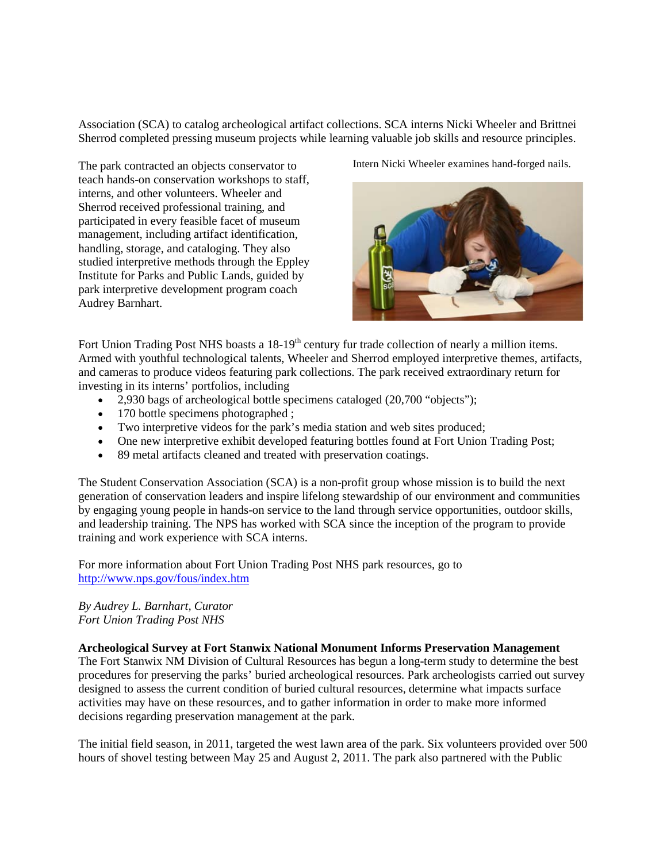Association (SCA) to catalog archeological artifact collections. SCA interns Nicki Wheeler and Brittnei Sherrod completed pressing museum projects while learning valuable job skills and resource principles.

The park contracted an objects conservator to teach hands-on conservation workshops to staff, interns, and other volunteers. Wheeler and Sherrod received professional training, and participated in every feasible facet of museum management, including artifact identification, handling, storage, and cataloging. They also studied interpretive methods through the Eppley Institute for Parks and Public Lands, guided by park interpretive development program coach Audrey Barnhart.

Intern Nicki Wheeler examines hand-forged nails.



Fort Union Trading Post NHS boasts a 18-19<sup>th</sup> century fur trade collection of nearly a million items. Armed with youthful technological talents, Wheeler and Sherrod employed interpretive themes, artifacts, and cameras to produce videos featuring park collections. The park received extraordinary return for investing in its interns' portfolios, including

- 2,930 bags of archeological bottle specimens cataloged (20,700 "objects");
- 170 bottle specimens photographed ;
- Two interpretive videos for the park's media station and web sites produced;
- One new interpretive exhibit developed featuring bottles found at Fort Union Trading Post;
- 89 metal artifacts cleaned and treated with preservation coatings.

The Student Conservation Association (SCA) is a non-profit group whose mission is to build the next generation of conservation leaders and inspire lifelong stewardship of our environment and communities by engaging young people in hands-on service to the land through service opportunities, outdoor skills, and leadership training. The NPS has worked with SCA since the inception of the program to provide training and work experience with SCA interns.

For more information about Fort Union Trading Post NHS park resources, go to <http://www.nps.gov/fous/index.htm>

## *By Audrey L. Barnhart, Curator Fort Union Trading Post NHS*

## **Archeological Survey at Fort Stanwix National Monument Informs Preservation Management**

The Fort Stanwix NM Division of Cultural Resources has begun a long-term study to determine the best procedures for preserving the parks' buried archeological resources. Park archeologists carried out survey designed to assess the current condition of buried cultural resources, determine what impacts surface activities may have on these resources, and to gather information in order to make more informed decisions regarding preservation management at the park.

The initial field season, in 2011, targeted the west lawn area of the park. Six volunteers provided over 500 hours of shovel testing between May 25 and August 2, 2011. The park also partnered with the Public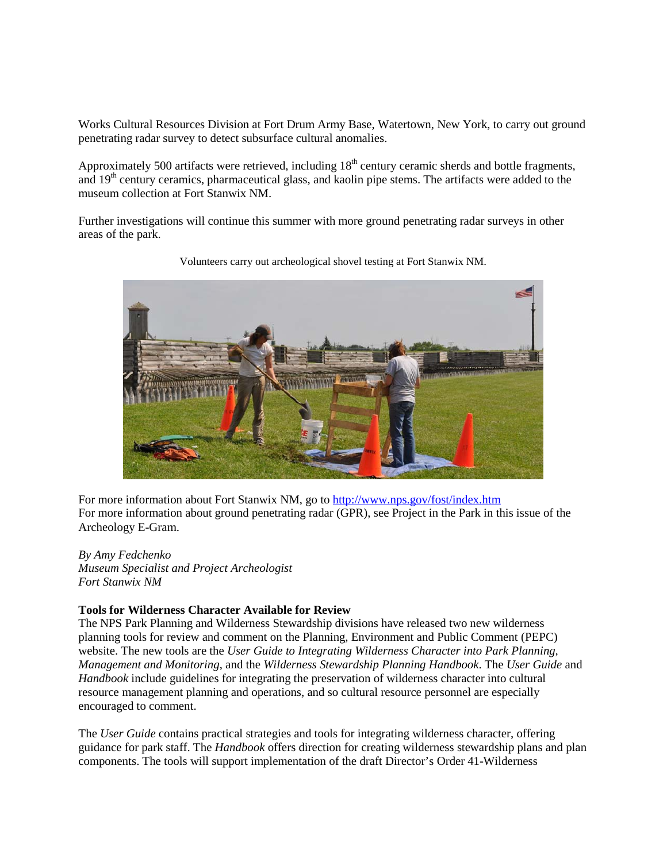Works Cultural Resources Division at Fort Drum Army Base, Watertown, New York, to carry out ground penetrating radar survey to detect subsurface cultural anomalies.

Approximately 500 artifacts were retrieved, including  $18<sup>th</sup>$  century ceramic sherds and bottle fragments, and 19<sup>th</sup> century ceramics, pharmaceutical glass, and kaolin pipe stems. The artifacts were added to the museum collection at Fort Stanwix NM.

Further investigations will continue this summer with more ground penetrating radar surveys in other areas of the park.



Volunteers carry out archeological shovel testing at Fort Stanwix NM.

For more information about Fort Stanwix NM, go to<http://www.nps.gov/fost/index.htm> For more information about ground penetrating radar (GPR), see Project in the Park in this issue of the Archeology E-Gram.

*By Amy Fedchenko Museum Specialist and Project Archeologist Fort Stanwix NM*

## **Tools for Wilderness Character Available for Review**

The NPS Park Planning and Wilderness Stewardship divisions have released two new wilderness planning tools for review and comment on the Planning, Environment and Public Comment (PEPC) website. The new tools are the *User Guide to Integrating Wilderness Character into Park Planning, Management and Monitoring*, and the *Wilderness Stewardship Planning Handbook*. The *User Guide* and *Handbook* include guidelines for integrating the preservation of wilderness character into cultural resource management planning and operations, and so cultural resource personnel are especially encouraged to comment.

The *User Guide* contains practical strategies and tools for integrating wilderness character, offering guidance for park staff. The *Handbook* offers direction for creating wilderness stewardship plans and plan components. The tools will support implementation of the draft Director's Order 41-Wilderness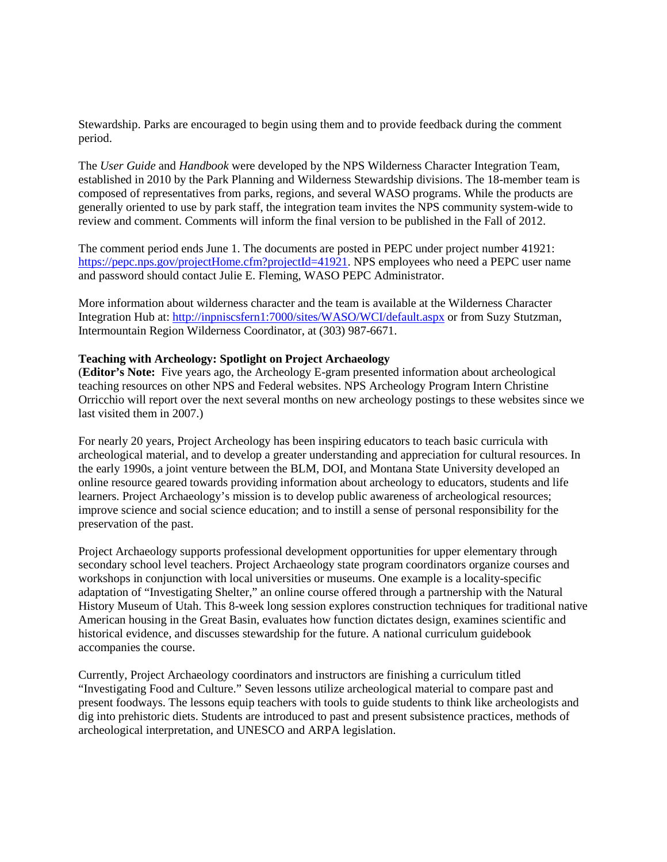Stewardship. Parks are encouraged to begin using them and to provide feedback during the comment period.

The *User Guide* and *Handbook* were developed by the NPS Wilderness Character Integration Team, established in 2010 by the Park Planning and Wilderness Stewardship divisions. The 18-member team is composed of representatives from parks, regions, and several WASO programs. While the products are generally oriented to use by park staff, the integration team invites the NPS community system-wide to review and comment. Comments will inform the final version to be published in the Fall of 2012.

The comment period ends June 1. The documents are posted in PEPC under project number 41921: [https://pepc.nps.gov/projectHome.cfm?projectId=41921.](https://pepc.nps.gov/projectHome.cfm?projectId=41921_) NPS employees who need a PEPC user name and password should contact Julie E. Fleming, WASO PEPC Administrator.

More information about wilderness character and the team is available at the Wilderness Character Integration Hub at: [http://inpniscsfern1:7000/sites/WASO/WCI/default.aspx](http://inpniscsfern1:7000/sites/WASO/WCI/default.aspx_) or from Suzy Stutzman, Intermountain Region Wilderness Coordinator, at (303) 987-6671.

#### **Teaching with Archeology: Spotlight on Project Archaeology**

(**Editor's Note:** Five years ago, the Archeology E-gram presented information about archeological teaching resources on other NPS and Federal websites. NPS Archeology Program Intern Christine Orricchio will report over the next several months on new archeology postings to these websites since we last visited them in 2007.)

For nearly 20 years, Project Archeology has been inspiring educators to teach basic curricula with archeological material, and to develop a greater understanding and appreciation for cultural resources. In the early 1990s, a joint venture between the BLM, DOI, and Montana State University developed an online resource geared towards providing information about archeology to educators, students and life learners. Project Archaeology's mission is to develop public awareness of archeological resources; improve science and social science education; and to instill a sense of personal responsibility for the preservation of the past.

Project Archaeology supports professional development opportunities for upper elementary through secondary school level teachers. Project Archaeology state program coordinators organize courses and workshops in conjunction with local universities or museums. One example is a locality-specific adaptation of "Investigating Shelter," an online course offered through a partnership with the Natural History Museum of Utah. This 8-week long session explores construction techniques for traditional native American housing in the Great Basin, evaluates how function dictates design, examines scientific and historical evidence, and discusses stewardship for the future. A national curriculum guidebook accompanies the course.

Currently, Project Archaeology coordinators and instructors are finishing a curriculum titled "Investigating Food and Culture." Seven lessons utilize archeological material to compare past and present foodways. The lessons equip teachers with tools to guide students to think like archeologists and dig into prehistoric diets. Students are introduced to past and present subsistence practices, methods of archeological interpretation, and UNESCO and ARPA legislation.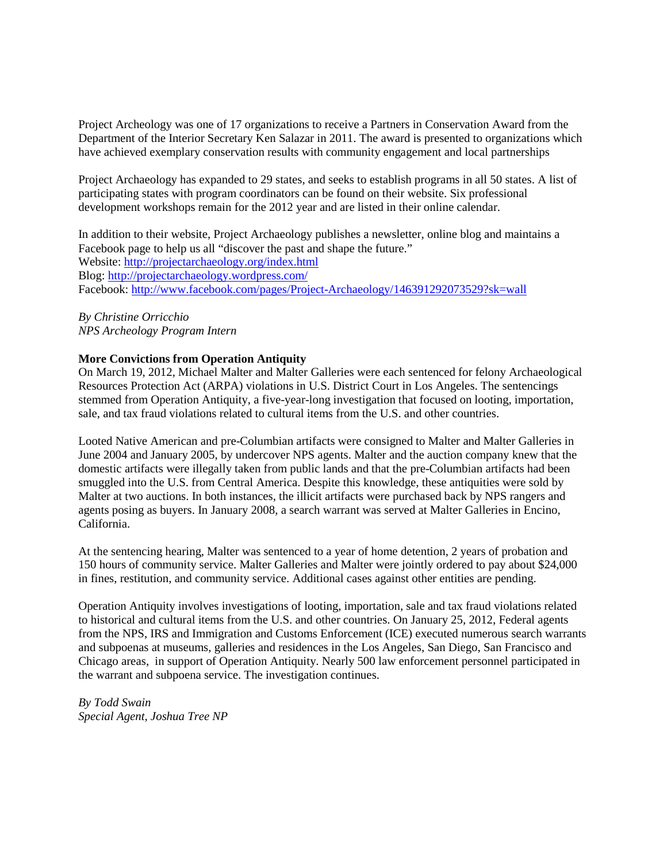Project Archeology was one of 17 organizations to receive a Partners in Conservation Award from the Department of the Interior Secretary Ken Salazar in 2011. The award is presented to organizations which have achieved exemplary conservation results with community engagement and local partnerships

Project Archaeology has expanded to 29 states, and seeks to establish programs in all 50 states. A list of participating states with program coordinators can be found on their website. Six professional development workshops remain for the 2012 year and are listed in their online calendar.

In addition to their website, Project Archaeology publishes a newsletter, online blog and maintains a Facebook page to help us all "discover the past and shape the future." Website:<http://projectarchaeology.org/index.html> Blog:<http://projectarchaeology.wordpress.com/> Facebook:<http://www.facebook.com/pages/Project-Archaeology/146391292073529?sk=wall>

*By Christine Orricchio NPS Archeology Program Intern*

## **More Convictions from Operation Antiquity**

On March 19, 2012, Michael Malter and Malter Galleries were each sentenced for felony Archaeological Resources Protection Act (ARPA) violations in U.S. District Court in Los Angeles. The sentencings stemmed from Operation Antiquity, a five-year-long investigation that focused on looting, importation, sale, and tax fraud violations related to cultural items from the U.S. and other countries.

Looted Native American and pre-Columbian artifacts were consigned to Malter and Malter Galleries in June 2004 and January 2005, by undercover NPS agents. Malter and the auction company knew that the domestic artifacts were illegally taken from public lands and that the pre-Columbian artifacts had been smuggled into the U.S. from Central America. Despite this knowledge, these antiquities were sold by Malter at two auctions. In both instances, the illicit artifacts were purchased back by NPS rangers and agents posing as buyers. In January 2008, a search warrant was served at Malter Galleries in Encino, California.

At the sentencing hearing, Malter was sentenced to a year of home detention, 2 years of probation and 150 hours of community service. Malter Galleries and Malter were jointly ordered to pay about \$24,000 in fines, restitution, and community service. Additional cases against other entities are pending.

Operation Antiquity involves investigations of looting, importation, sale and tax fraud violations related to historical and cultural items from the U.S. and other countries. On January 25, 2012, Federal agents from the NPS, IRS and Immigration and Customs Enforcement (ICE) executed numerous search warrants and subpoenas at museums, galleries and residences in the Los Angeles, San Diego, San Francisco and Chicago areas, in support of Operation Antiquity. Nearly 500 law enforcement personnel participated in the warrant and subpoena service. The investigation continues.

*By Todd Swain Special Agent, Joshua Tree NP*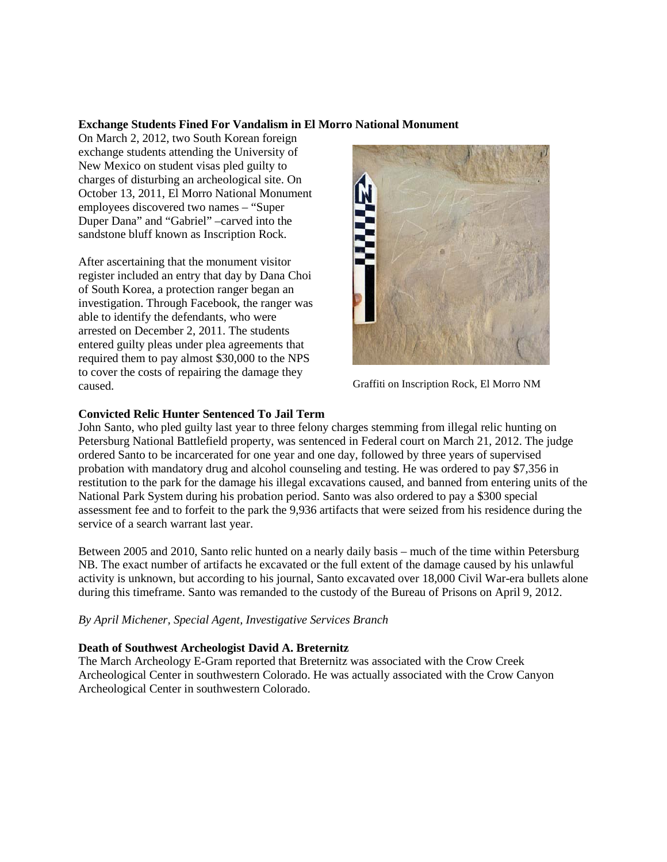### **Exchange Students Fined For Vandalism in El Morro National Monument**

On March 2, 2012, two South Korean foreign exchange students attending the University of New Mexico on student visas pled guilty to charges of disturbing an archeological site. On October 13, 2011, El Morro National Monument employees discovered two names – "Super Duper Dana" and "Gabriel" –carved into the sandstone bluff known as Inscription Rock.

After ascertaining that the monument visitor register included an entry that day by Dana Choi of South Korea, a protection ranger began an investigation. Through Facebook, the ranger was able to identify the defendants, who were arrested on December 2, 2011. The students entered guilty pleas under plea agreements that required them to pay almost \$30,000 to the NPS to cover the costs of repairing the damage they caused. Graffiti on Inscription Rock, El Morro NM



## **Convicted Relic Hunter Sentenced To Jail Term**

John Santo, who pled guilty last year to three felony charges stemming from illegal relic hunting on Petersburg National Battlefield property, was sentenced in Federal court on March 21, 2012. The judge ordered Santo to be incarcerated for one year and one day, followed by three years of supervised probation with mandatory drug and alcohol counseling and testing. He was ordered to pay \$7,356 in restitution to the park for the damage his illegal excavations caused, and banned from entering units of the National Park System during his probation period. Santo was also ordered to pay a \$300 special assessment fee and to forfeit to the park the 9,936 artifacts that were seized from his residence during the service of a search warrant last year.

Between 2005 and 2010, Santo relic hunted on a nearly daily basis – much of the time within Petersburg NB. The exact number of artifacts he excavated or the full extent of the damage caused by his unlawful activity is unknown, but according to his journal, Santo excavated over 18,000 Civil War-era bullets alone during this timeframe. Santo was remanded to the custody of the Bureau of Prisons on April 9, 2012.

*By April Michener, Special Agent, Investigative Services Branch*

## **Death of Southwest Archeologist David A. Breternitz**

The March Archeology E-Gram reported that Breternitz was associated with the Crow Creek Archeological Center in southwestern Colorado. He was actually associated with the Crow Canyon Archeological Center in southwestern Colorado.